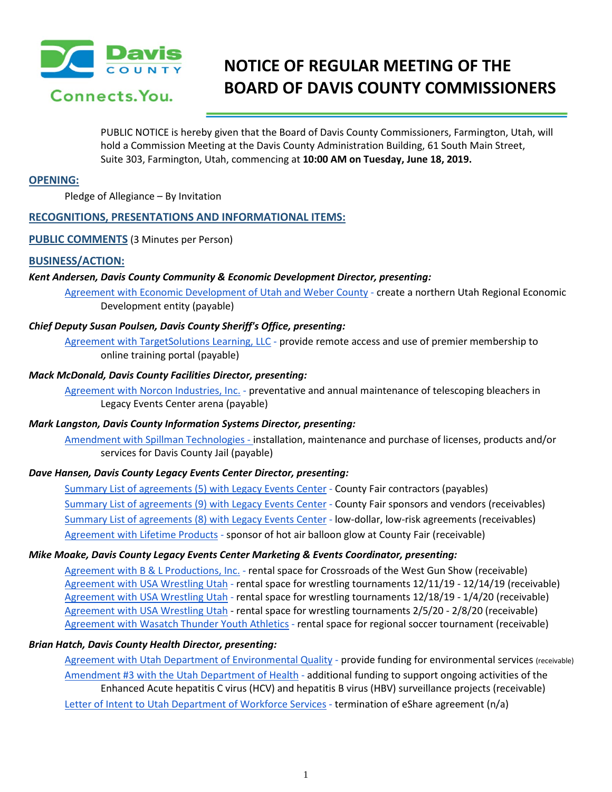

# **NOTICE OF REGULAR MEETING OF THE BOARD OF DAVIS COUNTY COMMISSIONERS**

PUBLIC NOTICE is hereby given that the Board of Davis County Commissioners, Farmington, Utah, will hold a Commission Meeting at the Davis County Administration Building, 61 South Main Street, Suite 303, Farmington, Utah, commencing at **10:00 AM on Tuesday, June 18, 2019.**

#### **OPENING:**

Pledge of Allegiance – By Invitation

# **RECOGNITIONS, PRESENTATIONS AND INFORMATIONAL ITEMS:**

**PUBLIC COMMENTS** (3 Minutes per Person)

## **BUSINESS/ACTION:**

#### *Kent Andersen, Davis County Community & Economic Development Director, presenting:*

[Agreement with Economic Development of Utah and Weber County](https://drive.google.com/a/co.davis.ut.us/file/d/1K0q36EVDRnua5HoimyBe-K1pTJgaA_iX/view?usp=drivesdk) [-](https://drive.google.com/a/co.davis.ut.us/file/d/1K0q36EVDRnua5HoimyBe-K1pTJgaA_iX/view?usp=drivesdk) create a northern Utah Regional Economic Development entity (payable)

## *Chief Deputy Susan Poulsen, Davis County Sheriff's Office, presenting:*

[Agreement with TargetSolutions Learning, LLC](https://drive.google.com/a/co.davis.ut.us/file/d/14nc7FI5Pe2yR7s24ugtn3vXvxW1wByEi/view?usp=drivesdk) [-](https://drive.google.com/a/co.davis.ut.us/file/d/14nc7FI5Pe2yR7s24ugtn3vXvxW1wByEi/view?usp=drivesdk) provide remote access and use of premier membership to online training portal (payable)

## *Mack McDonald, Davis County Facilities Director, presenting:*

[Agreement with Norcon Industries, Inc.](https://drive.google.com/a/co.davis.ut.us/file/d/1aFQ2V_phFv7DAT0g5BCpHoVumkOpwGPa/view?usp=drivesdk) [-](https://drive.google.com/a/co.davis.ut.us/file/d/1aFQ2V_phFv7DAT0g5BCpHoVumkOpwGPa/view?usp=drivesdk) preventative and annual maintenance of telescoping bleachers in Legacy Events Center arena (payable)

#### *Mark Langston, Davis County Information Systems Director, presenting:*

Amendment with [Spillman Technologies -](https://drive.google.com/a/co.davis.ut.us/file/d/1EF_HXTDDTcNFlDnyt_29vvSJ8ctFzORi/view?usp=drivesdk) installation, maintenance and purchase of licenses, products and/or services for Davis County Jail (payable)

# *Dave Hansen, Davis County Legacy Events Center Director, presenting:*

[Summary List of agreements \(5\) with Legacy Events Center](https://drive.google.com/a/co.davis.ut.us/file/d/1IkUY-RgH8czEQ4FuIHn8aqWFu9_qAeQn/view?usp=drivesdk) [-](https://drive.google.com/a/co.davis.ut.us/file/d/1IkUY-RgH8czEQ4FuIHn8aqWFu9_qAeQn/view?usp=drivesdk) County Fair contractors (payables) [Summary List of agreements \(9\) with Legacy Events Center](https://drive.google.com/a/co.davis.ut.us/file/d/1fulZieb7GnrIT21ZLMoShy5cXvTbs_eO/view?usp=drivesdk) [-](https://drive.google.com/a/co.davis.ut.us/file/d/1fulZieb7GnrIT21ZLMoShy5cXvTbs_eO/view?usp=drivesdk) County Fair sponsors and vendors (receivables) [Summary List of agreements \(8\) with Legacy Events Center](https://drive.google.com/a/co.davis.ut.us/file/d/1qnTmdRcFz53BXY0CCZmflEqwYt-P2Yp-/view?usp=drivesdk) [-](https://drive.google.com/a/co.davis.ut.us/file/d/1qnTmdRcFz53BXY0CCZmflEqwYt-P2Yp-/view?usp=drivesdk) low-dollar, low-risk agreements (receivables) [Agreement with Lifetime Products](https://drive.google.com/a/co.davis.ut.us/file/d/16tdtBGhHmN_yPHko3uAcQ4a-cYbINuta/view?usp=drivesdk) [-](https://drive.google.com/a/co.davis.ut.us/file/d/16tdtBGhHmN_yPHko3uAcQ4a-cYbINuta/view?usp=drivesdk) sponsor of hot air balloon glow at County Fair (receivable)

#### *Mike Moake, Davis County Legacy Events Center Marketing & Events Coordinator, presenting:*

Agreement [with B & L Productions, Inc.](https://drive.google.com/a/co.davis.ut.us/file/d/1JKOamAWOw_szfakgH5H16h3O1KgeQ4A1/view?usp=drivesdk) [-](https://drive.google.com/a/co.davis.ut.us/file/d/1JKOamAWOw_szfakgH5H16h3O1KgeQ4A1/view?usp=drivesdk) rental space for Crossroads of the West Gun Show (receivable) [Agreement with USA Wrestling Utah](https://drive.google.com/a/co.davis.ut.us/file/d/1FqsqR07KhSMxFt5h76bxznwt12_Z25kd/view?usp=drivesdk) [-](https://drive.google.com/a/co.davis.ut.us/file/d/1FqsqR07KhSMxFt5h76bxznwt12_Z25kd/view?usp=drivesdk) rental space for wrestling tournaments 12/11/19 - 12/14/19 (receivable) [Agreement with USA Wrestling Utah](https://drive.google.com/a/co.davis.ut.us/file/d/1bPFNYsS_pRvh2r2tDpmKgWnm72Twb4d_/view?usp=drivesdk) [-](https://drive.google.com/a/co.davis.ut.us/file/d/1bPFNYsS_pRvh2r2tDpmKgWnm72Twb4d_/view?usp=drivesdk) rental space for wrestling tournaments 12/18/19 - 1/4/20 (receivable) [Agreement with USA Wrestling Utah](https://drive.google.com/a/co.davis.ut.us/file/d/1g7D3korBS5xhlCnHQmb7GusQ0qto3wen/view?usp=drivesdk) [-](https://drive.google.com/a/co.davis.ut.us/file/d/1g7D3korBS5xhlCnHQmb7GusQ0qto3wen/view?usp=drivesdk) rental space for wrestling tournaments 2/5/20 - 2/8/20 (receivable) [Agreement with Wasatch Thunder Youth Athletics](https://drive.google.com/a/co.davis.ut.us/file/d/1eETqWOxKlEqGFKp0aDMb-ENaT8s6iwbx/view?usp=drivesdk) [-](https://drive.google.com/a/co.davis.ut.us/file/d/1eETqWOxKlEqGFKp0aDMb-ENaT8s6iwbx/view?usp=drivesdk) rental space for regional soccer tournament (receivable)

#### *Brian Hatch, Davis County Health Director, presenting:*

[Agreement with Utah Department of Environmental Quality](https://drive.google.com/a/co.davis.ut.us/file/d/14mZ6ENycbxYqEl-4t6v2op6JZiaGWr9V/view?usp=drivesdk) [-](https://drive.google.com/a/co.davis.ut.us/file/d/14mZ6ENycbxYqEl-4t6v2op6JZiaGWr9V/view?usp=drivesdk) provide funding for environmental services (receivable) [Amendment #3 with the Utah Department of Health](https://drive.google.com/a/co.davis.ut.us/file/d/1NhInzFYzFZSuRciCj7_gfDf9Ip83Hz98/view?usp=drivesdk) [-](https://drive.google.com/a/co.davis.ut.us/file/d/1NhInzFYzFZSuRciCj7_gfDf9Ip83Hz98/view?usp=drivesdk) additional funding to support ongoing activities of the Enhanced Acute hepatitis C virus (HCV) and hepatitis B virus (HBV) surveillance projects (receivable) [Letter of Intent to Utah Department of Workforce Services](https://drive.google.com/a/co.davis.ut.us/file/d/1yav88ZHVIeM8p7orim48-qQWSt5MY0fS/view?usp=drivesdk) [-](https://drive.google.com/a/co.davis.ut.us/file/d/1yav88ZHVIeM8p7orim48-qQWSt5MY0fS/view?usp=drivesdk) termination of eShare agreement (n/a)